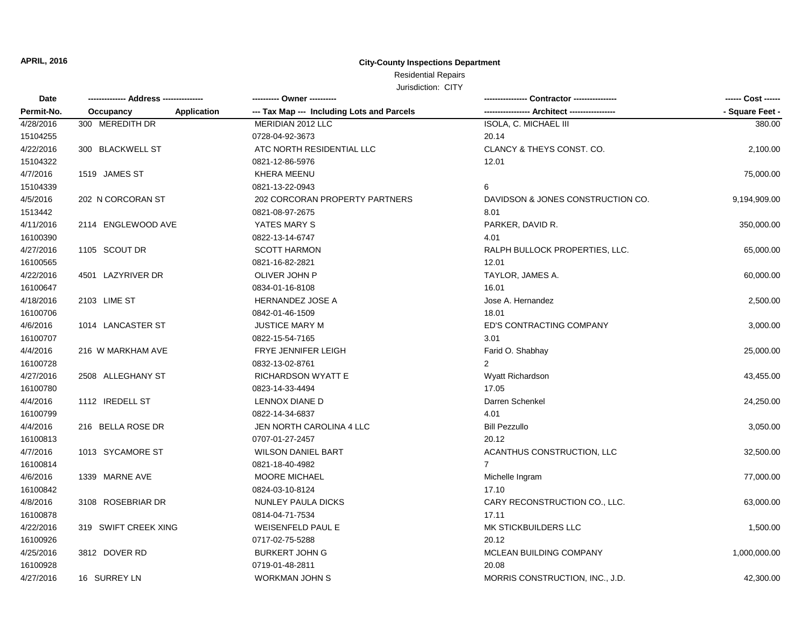# Residential Repairs

| Date<br>Permit-No. |                                 | ---------- Owner ----------                |                                   | ------ Cost ------ |
|--------------------|---------------------------------|--------------------------------------------|-----------------------------------|--------------------|
|                    | <b>Application</b><br>Occupancy | --- Tax Map --- Including Lots and Parcels |                                   | - Square Feet -    |
| 4/28/2016          | 300 MEREDITH DR                 | MERIDIAN 2012 LLC                          | <b>ISOLA, C. MICHAEL III</b>      | 380.00             |
| 15104255           |                                 | 0728-04-92-3673                            | 20.14                             |                    |
| 4/22/2016          | 300 BLACKWELL ST                | ATC NORTH RESIDENTIAL LLC                  | CLANCY & THEYS CONST. CO.         | 2,100.00           |
| 15104322           |                                 | 0821-12-86-5976                            | 12.01                             |                    |
| 4/7/2016           | 1519 JAMES ST                   | KHERA MEENU                                |                                   | 75,000.00          |
| 15104339           |                                 | 0821-13-22-0943                            | 6                                 |                    |
| 4/5/2016           | 202 N CORCORAN ST               | 202 CORCORAN PROPERTY PARTNERS             | DAVIDSON & JONES CONSTRUCTION CO. | 9,194,909.00       |
| 1513442            |                                 | 0821-08-97-2675                            | 8.01                              |                    |
| 4/11/2016          | 2114 ENGLEWOOD AVE              | YATES MARY S                               | PARKER, DAVID R.                  | 350,000.00         |
| 16100390           |                                 | 0822-13-14-6747                            | 4.01                              |                    |
| 4/27/2016          | 1105 SCOUT DR                   | <b>SCOTT HARMON</b>                        | RALPH BULLOCK PROPERTIES, LLC.    | 65,000.00          |
| 16100565           |                                 | 0821-16-82-2821                            | 12.01                             |                    |
| 4/22/2016          | 4501 LAZYRIVER DR               | OLIVER JOHN P                              | TAYLOR, JAMES A.                  | 60,000.00          |
| 16100647           |                                 | 0834-01-16-8108                            | 16.01                             |                    |
| 4/18/2016          | 2103 LIME ST                    | HERNANDEZ JOSE A                           | Jose A. Hernandez                 | 2,500.00           |
| 16100706           |                                 | 0842-01-46-1509                            | 18.01                             |                    |
| 4/6/2016           | 1014 LANCASTER ST               | <b>JUSTICE MARY M</b>                      | ED'S CONTRACTING COMPANY          | 3,000.00           |
| 16100707           |                                 | 0822-15-54-7165                            | 3.01                              |                    |
| 4/4/2016           | 216 W MARKHAM AVE               | FRYE JENNIFER LEIGH                        | Farid O. Shabhay                  | 25,000.00          |
| 16100728           |                                 | 0832-13-02-8761                            |                                   |                    |
| 4/27/2016          | 2508 ALLEGHANY ST               | <b>RICHARDSON WYATT E</b>                  | Wyatt Richardson                  | 43,455.00          |
| 16100780           |                                 | 0823-14-33-4494                            | 17.05                             |                    |
| 4/4/2016           | 1112 IREDELL ST                 | LENNOX DIANE D                             | Darren Schenkel                   | 24,250.00          |
| 16100799           |                                 | 0822-14-34-6837                            | 4.01                              |                    |
| 4/4/2016           | 216 BELLA ROSE DR               | JEN NORTH CAROLINA 4 LLC                   | <b>Bill Pezzullo</b>              | 3,050.00           |
| 16100813           |                                 | 0707-01-27-2457                            | 20.12                             |                    |
| 4/7/2016           | 1013 SYCAMORE ST                | <b>WILSON DANIEL BART</b>                  | ACANTHUS CONSTRUCTION, LLC        | 32,500.00          |
| 16100814           |                                 | 0821-18-40-4982                            | $\overline{7}$                    |                    |
| 4/6/2016           | 1339 MARNE AVE                  | MOORE MICHAEL                              | Michelle Ingram                   | 77,000.00          |
| 16100842           |                                 | 0824-03-10-8124                            | 17.10                             |                    |
| 4/8/2016           | 3108 ROSEBRIAR DR               | NUNLEY PAULA DICKS                         | CARY RECONSTRUCTION CO., LLC.     | 63,000.00          |
| 16100878           |                                 | 0814-04-71-7534                            | 17.11                             |                    |
| 4/22/2016          | 319 SWIFT CREEK XING            | <b>WEISENFELD PAUL E</b>                   | MK STICKBUILDERS LLC              | 1,500.00           |
| 16100926           |                                 | 0717-02-75-5288                            | 20.12                             |                    |
| 4/25/2016          | 3812 DOVER RD                   | <b>BURKERT JOHN G</b>                      | MCLEAN BUILDING COMPANY           | 1,000,000.00       |
| 16100928           |                                 | 0719-01-48-2811                            | 20.08                             |                    |
| 4/27/2016          | 16 SURREY LN                    | <b>WORKMAN JOHN S</b>                      | MORRIS CONSTRUCTION, INC., J.D.   | 42,300.00          |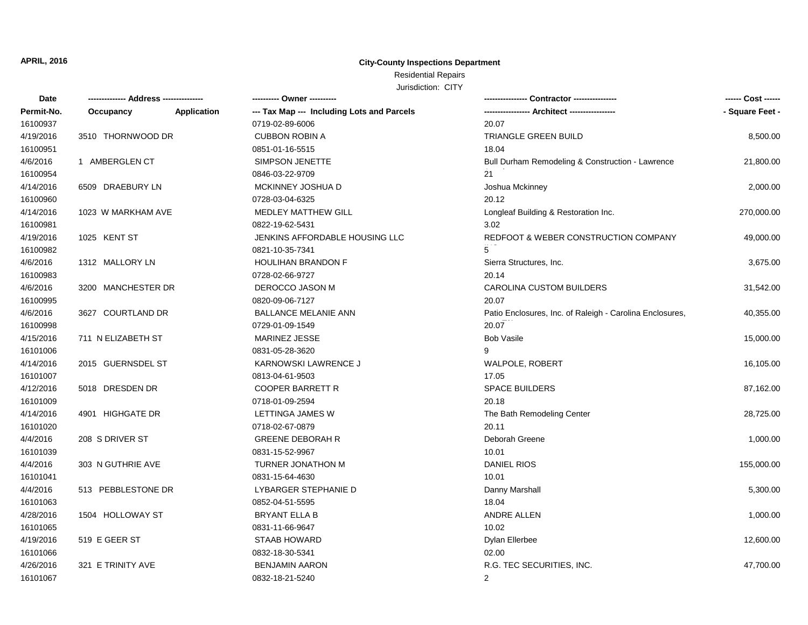# Residential Repairs

| <b>Date</b> |                    |                    | ---------- Owner ----------                |                                                          | ------ Cost ------ |
|-------------|--------------------|--------------------|--------------------------------------------|----------------------------------------------------------|--------------------|
| Permit-No.  | Occupancy          | <b>Application</b> | --- Tax Map --- Including Lots and Parcels |                                                          | - Square Feet -    |
| 16100937    |                    |                    | 0719-02-89-6006                            | 20.07                                                    |                    |
| 4/19/2016   | 3510 THORNWOOD DR  |                    | <b>CUBBON ROBIN A</b>                      | TRIANGLE GREEN BUILD                                     | 8,500.00           |
| 16100951    |                    |                    | 0851-01-16-5515                            | 18.04                                                    |                    |
| 4/6/2016    | 1 AMBERGLEN CT     |                    | SIMPSON JENETTE                            | Bull Durham Remodeling & Construction - Lawrence         | 21,800.00          |
| 16100954    |                    |                    | 0846-03-22-9709                            | 21                                                       |                    |
| 4/14/2016   | 6509 DRAEBURY LN   |                    | MCKINNEY JOSHUA D                          | Joshua Mckinney                                          | 2,000.00           |
| 16100960    |                    |                    | 0728-03-04-6325                            | 20.12                                                    |                    |
| 4/14/2016   | 1023 W MARKHAM AVE |                    | <b>MEDLEY MATTHEW GILL</b>                 | Longleaf Building & Restoration Inc.                     | 270,000.00         |
| 16100981    |                    |                    | 0822-19-62-5431                            | 3.02                                                     |                    |
| 4/19/2016   | 1025 KENT ST       |                    | JENKINS AFFORDABLE HOUSING LLC             | REDFOOT & WEBER CONSTRUCTION COMPANY                     | 49,000.00          |
| 16100982    |                    |                    | 0821-10-35-7341                            | 5                                                        |                    |
| 4/6/2016    | 1312 MALLORY LN    |                    | HOULIHAN BRANDON F                         | Sierra Structures, Inc.                                  | 3,675.00           |
| 16100983    |                    |                    | 0728-02-66-9727                            | 20.14                                                    |                    |
| 4/6/2016    | 3200 MANCHESTER DR |                    | DEROCCO JASON M                            | <b>CAROLINA CUSTOM BUILDERS</b>                          | 31,542.00          |
| 16100995    |                    |                    | 0820-09-06-7127                            | 20.07                                                    |                    |
| 4/6/2016    | 3627 COURTLAND DR  |                    | <b>BALLANCE MELANIE ANN</b>                | Patio Enclosures, Inc. of Raleigh - Carolina Enclosures, | 40,355.00          |
| 16100998    |                    |                    | 0729-01-09-1549                            | 20.07                                                    |                    |
| 4/15/2016   | 711 N ELIZABETH ST |                    | <b>MARINEZ JESSE</b>                       | <b>Bob Vasile</b>                                        | 15,000.00          |
| 16101006    |                    |                    | 0831-05-28-3620                            | 9                                                        |                    |
| 4/14/2016   | 2015 GUERNSDEL ST  |                    | KARNOWSKI LAWRENCE J                       | WALPOLE, ROBERT                                          | 16,105.00          |
| 16101007    |                    |                    | 0813-04-61-9503                            | 17.05                                                    |                    |
| 4/12/2016   | 5018 DRESDEN DR    |                    | <b>COOPER BARRETT R</b>                    | <b>SPACE BUILDERS</b>                                    | 87,162.00          |
| 16101009    |                    |                    | 0718-01-09-2594                            | 20.18                                                    |                    |
| 4/14/2016   | 4901 HIGHGATE DR   |                    | LETTINGA JAMES W                           | The Bath Remodeling Center                               | 28,725.00          |
| 16101020    |                    |                    | 0718-02-67-0879                            | 20.11                                                    |                    |
| 4/4/2016    | 208 S DRIVER ST    |                    | <b>GREENE DEBORAH R</b>                    | Deborah Greene                                           | 1,000.00           |
| 16101039    |                    |                    | 0831-15-52-9967                            | 10.01                                                    |                    |
| 4/4/2016    | 303 N GUTHRIE AVE  |                    | TURNER JONATHON M                          | <b>DANIEL RIOS</b>                                       | 155,000.00         |
| 16101041    |                    |                    | 0831-15-64-4630                            | 10.01                                                    |                    |
| 4/4/2016    | 513 PEBBLESTONE DR |                    | LYBARGER STEPHANIE D                       | Danny Marshall                                           | 5,300.00           |
| 16101063    |                    |                    | 0852-04-51-5595                            | 18.04                                                    |                    |
| 4/28/2016   | 1504 HOLLOWAY ST   |                    | <b>BRYANT ELLA B</b>                       | <b>ANDRE ALLEN</b>                                       | 1,000.00           |
| 16101065    |                    |                    | 0831-11-66-9647                            | 10.02                                                    |                    |
| 4/19/2016   | 519 E GEER ST      |                    | <b>STAAB HOWARD</b>                        | Dylan Ellerbee                                           | 12,600.00          |
| 16101066    |                    |                    | 0832-18-30-5341                            | 02.00                                                    |                    |
| 4/26/2016   | 321 E TRINITY AVE  |                    | <b>BENJAMIN AARON</b>                      | R.G. TEC SECURITIES, INC.                                | 47,700.00          |
| 16101067    |                    |                    | 0832-18-21-5240                            | 2                                                        |                    |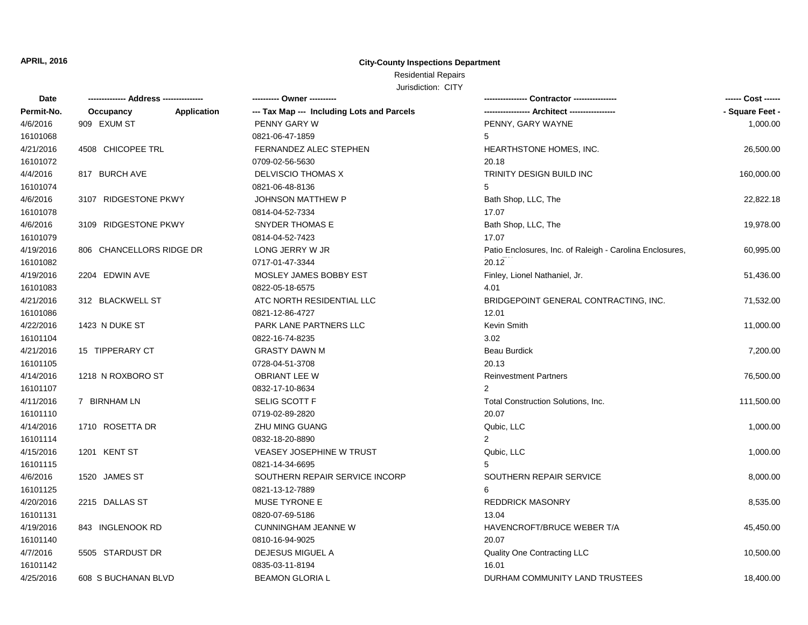Residential Repairs

| Date       |                          | ---------- Owner ----------                |                                                          | ------ Cost ------ |
|------------|--------------------------|--------------------------------------------|----------------------------------------------------------|--------------------|
| Permit-No. | Occupancy<br>Application | --- Tax Map --- Including Lots and Parcels |                                                          | - Square Feet -    |
| 4/6/2016   | 909 EXUM ST              | PENNY GARY W                               | PENNY, GARY WAYNE                                        | 1,000.00           |
| 16101068   |                          | 0821-06-47-1859                            | 5                                                        |                    |
| 4/21/2016  | 4508 CHICOPEE TRL        | FERNANDEZ ALEC STEPHEN                     | HEARTHSTONE HOMES, INC.                                  | 26,500.00          |
| 16101072   |                          | 0709-02-56-5630                            | 20.18                                                    |                    |
| 4/4/2016   | 817 BURCH AVE            | DELVISCIO THOMAS X                         | TRINITY DESIGN BUILD INC                                 | 160,000.00         |
| 16101074   |                          | 0821-06-48-8136                            | 5                                                        |                    |
| 4/6/2016   | 3107 RIDGESTONE PKWY     | JOHNSON MATTHEW P                          | Bath Shop, LLC, The                                      | 22,822.18          |
| 16101078   |                          | 0814-04-52-7334                            | 17.07                                                    |                    |
| 4/6/2016   | 3109 RIDGESTONE PKWY     | SNYDER THOMAS E                            | Bath Shop, LLC, The                                      | 19,978.00          |
| 16101079   |                          | 0814-04-52-7423                            | 17.07                                                    |                    |
| 4/19/2016  | 806 CHANCELLORS RIDGE DR | LONG JERRY W JR                            | Patio Enclosures, Inc. of Raleigh - Carolina Enclosures, | 60,995.00          |
| 16101082   |                          | 0717-01-47-3344                            | 20.12                                                    |                    |
| 4/19/2016  | 2204 EDWIN AVE           | MOSLEY JAMES BOBBY EST                     | Finley, Lionel Nathaniel, Jr.                            | 51,436.00          |
| 16101083   |                          | 0822-05-18-6575                            | 4.01                                                     |                    |
| 4/21/2016  | 312 BLACKWELL ST         | ATC NORTH RESIDENTIAL LLC                  | BRIDGEPOINT GENERAL CONTRACTING, INC.                    | 71,532.00          |
| 16101086   |                          | 0821-12-86-4727                            | 12.01                                                    |                    |
| 4/22/2016  | 1423 N DUKE ST           | <b>PARK LANE PARTNERS LLC</b>              | Kevin Smith                                              | 11,000.00          |
| 16101104   |                          | 0822-16-74-8235                            | 3.02                                                     |                    |
| 4/21/2016  | 15 TIPPERARY CT          | <b>GRASTY DAWN M</b>                       | <b>Beau Burdick</b>                                      | 7,200.00           |
| 16101105   |                          | 0728-04-51-3708                            | 20.13                                                    |                    |
| 4/14/2016  | 1218 N ROXBORO ST        | <b>OBRIANT LEE W</b>                       | <b>Reinvestment Partners</b>                             | 76,500.00          |
| 16101107   |                          | 0832-17-10-8634                            | $\mathcal{P}$                                            |                    |
| 4/11/2016  | 7 BIRNHAM LN             | SELIG SCOTT F                              | Total Construction Solutions, Inc.                       | 111,500.00         |
| 16101110   |                          | 0719-02-89-2820                            | 20.07                                                    |                    |
| 4/14/2016  | 1710 ROSETTA DR          | ZHU MING GUANG                             | Qubic, LLC                                               | 1,000.00           |
| 16101114   |                          | 0832-18-20-8890                            | $\overline{2}$                                           |                    |
| 4/15/2016  | 1201 KENT ST             | VEASEY JOSEPHINE W TRUST                   | Qubic, LLC                                               | 1,000.00           |
| 16101115   |                          | 0821-14-34-6695                            | 5                                                        |                    |
| 4/6/2016   | 1520 JAMES ST            | SOUTHERN REPAIR SERVICE INCORP             | SOUTHERN REPAIR SERVICE                                  | 8,000.00           |
| 16101125   |                          | 0821-13-12-7889                            | 6                                                        |                    |
| 4/20/2016  | 2215 DALLAS ST           | MUSE TYRONE E                              | <b>REDDRICK MASONRY</b>                                  | 8,535.00           |
| 16101131   |                          | 0820-07-69-5186                            | 13.04                                                    |                    |
| 4/19/2016  | 843 INGLENOOK RD         | <b>CUNNINGHAM JEANNE W</b>                 | HAVENCROFT/BRUCE WEBER T/A                               | 45,450.00          |
| 16101140   |                          | 0810-16-94-9025                            | 20.07                                                    |                    |
| 4/7/2016   | 5505 STARDUST DR         | DEJESUS MIGUEL A                           | Quality One Contracting LLC                              | 10,500.00          |
| 16101142   |                          | 0835-03-11-8194                            | 16.01                                                    |                    |
| 4/25/2016  | 608 S BUCHANAN BLVD      | <b>BEAMON GLORIA L</b>                     | DURHAM COMMUNITY LAND TRUSTEES                           | 18,400.00          |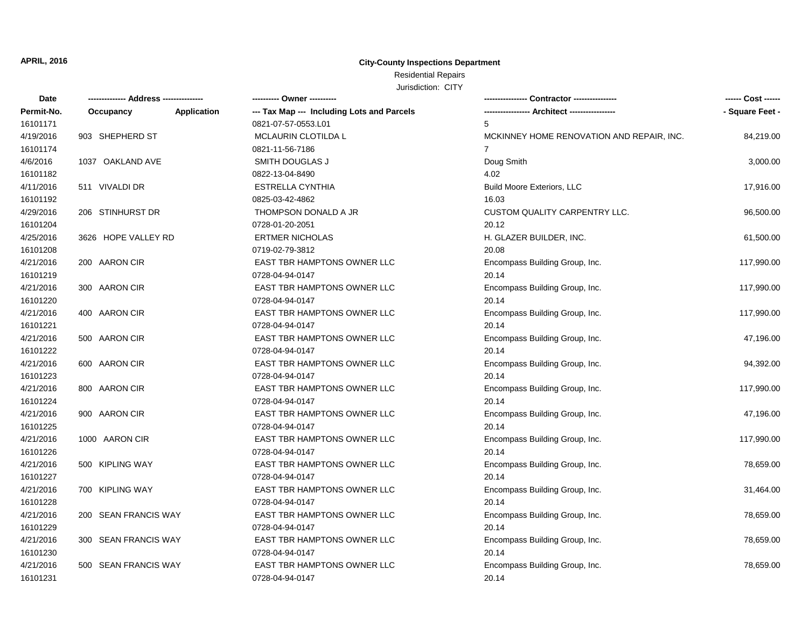## Residential Repairs

| Date       |                      |                    | ---------- Owner ----------                |                                           | ------ Cost ------ |
|------------|----------------------|--------------------|--------------------------------------------|-------------------------------------------|--------------------|
| Permit-No. | Occupancy            | <b>Application</b> | --- Tax Map --- Including Lots and Parcels |                                           | - Square Feet -    |
| 16101171   |                      |                    | 0821-07-57-0553.L01                        | 5                                         |                    |
| 4/19/2016  | 903 SHEPHERD ST      |                    | MCLAURIN CLOTILDA L                        | MCKINNEY HOME RENOVATION AND REPAIR, INC. | 84,219.00          |
| 16101174   |                      |                    | 0821-11-56-7186                            | $\overline{7}$                            |                    |
| 4/6/2016   | 1037 OAKLAND AVE     |                    | SMITH DOUGLAS J                            | Doug Smith                                | 3,000.00           |
| 16101182   |                      |                    | 0822-13-04-8490                            | 4.02                                      |                    |
| 4/11/2016  | 511 VIVALDI DR       |                    | <b>ESTRELLA CYNTHIA</b>                    | <b>Build Moore Exteriors, LLC</b>         | 17,916.00          |
| 16101192   |                      |                    | 0825-03-42-4862                            | 16.03                                     |                    |
| 4/29/2016  | 206 STINHURST DR     |                    | THOMPSON DONALD A JR                       | <b>CUSTOM QUALITY CARPENTRY LLC.</b>      | 96,500.00          |
| 16101204   |                      |                    | 0728-01-20-2051                            | 20.12                                     |                    |
| 4/25/2016  | 3626 HOPE VALLEY RD  |                    | <b>ERTMER NICHOLAS</b>                     | H. GLAZER BUILDER, INC.                   | 61,500.00          |
| 16101208   |                      |                    | 0719-02-79-3812                            | 20.08                                     |                    |
| 4/21/2016  | 200 AARON CIR        |                    | EAST TBR HAMPTONS OWNER LLC                | Encompass Building Group, Inc.            | 117,990.00         |
| 16101219   |                      |                    | 0728-04-94-0147                            | 20.14                                     |                    |
| 4/21/2016  | 300 AARON CIR        |                    | EAST TBR HAMPTONS OWNER LLC                | Encompass Building Group, Inc.            | 117,990.00         |
| 16101220   |                      |                    | 0728-04-94-0147                            | 20.14                                     |                    |
| 4/21/2016  | 400 AARON CIR        |                    | EAST TBR HAMPTONS OWNER LLC                | Encompass Building Group, Inc.            | 117,990.00         |
| 16101221   |                      |                    | 0728-04-94-0147                            | 20.14                                     |                    |
| 4/21/2016  | 500 AARON CIR        |                    | EAST TBR HAMPTONS OWNER LLC                | Encompass Building Group, Inc.            | 47,196.00          |
| 16101222   |                      |                    | 0728-04-94-0147                            | 20.14                                     |                    |
| 4/21/2016  | 600 AARON CIR        |                    | EAST TBR HAMPTONS OWNER LLC                | Encompass Building Group, Inc.            | 94,392.00          |
| 16101223   |                      |                    | 0728-04-94-0147                            | 20.14                                     |                    |
| 4/21/2016  | 800 AARON CIR        |                    | EAST TBR HAMPTONS OWNER LLC                | Encompass Building Group, Inc.            | 117,990.00         |
| 16101224   |                      |                    | 0728-04-94-0147                            | 20.14                                     |                    |
| 4/21/2016  | 900 AARON CIR        |                    | EAST TBR HAMPTONS OWNER LLC                | Encompass Building Group, Inc.            | 47,196.00          |
| 16101225   |                      |                    | 0728-04-94-0147                            | 20.14                                     |                    |
| 4/21/2016  | 1000 AARON CIR       |                    | EAST TBR HAMPTONS OWNER LLC                | Encompass Building Group, Inc.            | 117,990.00         |
| 16101226   |                      |                    | 0728-04-94-0147                            | 20.14                                     |                    |
| 4/21/2016  | 500 KIPLING WAY      |                    | EAST TBR HAMPTONS OWNER LLC                | Encompass Building Group, Inc.            | 78,659.00          |
| 16101227   |                      |                    | 0728-04-94-0147                            | 20.14                                     |                    |
| 4/21/2016  | 700 KIPLING WAY      |                    | EAST TBR HAMPTONS OWNER LLC                | Encompass Building Group, Inc.            | 31,464.00          |
| 16101228   |                      |                    | 0728-04-94-0147                            | 20.14                                     |                    |
| 4/21/2016  | 200 SEAN FRANCIS WAY |                    | EAST TBR HAMPTONS OWNER LLC                | Encompass Building Group, Inc.            | 78,659.00          |
| 16101229   |                      |                    | 0728-04-94-0147                            | 20.14                                     |                    |
| 4/21/2016  | 300 SEAN FRANCIS WAY |                    | EAST TBR HAMPTONS OWNER LLC                | Encompass Building Group, Inc.            | 78,659.00          |
| 16101230   |                      |                    | 0728-04-94-0147                            | 20.14                                     |                    |
| 4/21/2016  | 500 SEAN FRANCIS WAY |                    | EAST TBR HAMPTONS OWNER LLC                | Encompass Building Group, Inc.            | 78,659.00          |
| 16101231   |                      |                    | 0728-04-94-0147                            | 20.14                                     |                    |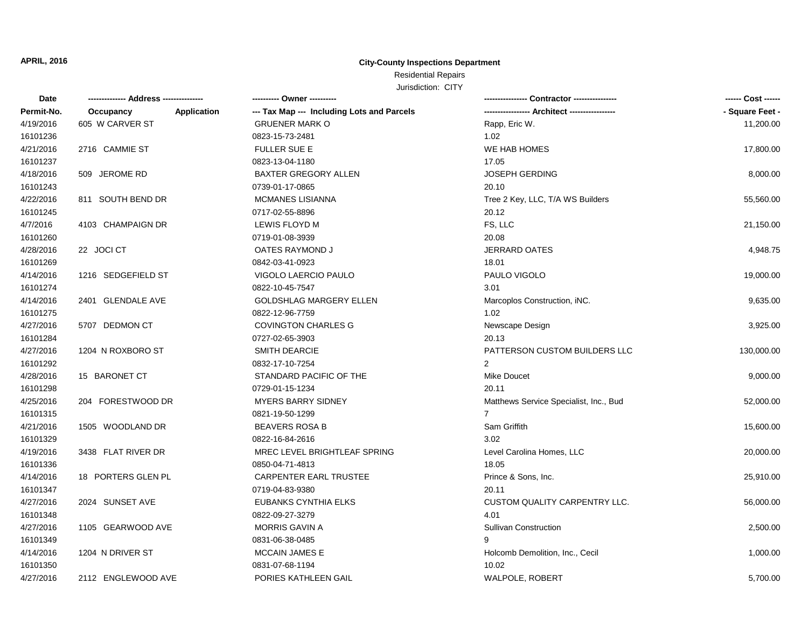## Residential Repairs

| Date       |                    |             | ---------- Owner ----------                |                                        | ------ Cost ------ |
|------------|--------------------|-------------|--------------------------------------------|----------------------------------------|--------------------|
| Permit-No. | Occupancy          | Application | --- Tax Map --- Including Lots and Parcels |                                        | - Square Feet -    |
| 4/19/2016  | 605 W CARVER ST    |             | <b>GRUENER MARK O</b>                      | Rapp, Eric W.                          | 11,200.00          |
| 16101236   |                    |             | 0823-15-73-2481                            | 1.02                                   |                    |
| 4/21/2016  | 2716 CAMMIE ST     |             | <b>FULLER SUE E</b>                        | WE HAB HOMES                           | 17,800.00          |
| 16101237   |                    |             | 0823-13-04-1180                            | 17.05                                  |                    |
| 4/18/2016  | 509 JEROME RD      |             | <b>BAXTER GREGORY ALLEN</b>                | <b>JOSEPH GERDING</b>                  | 8,000.00           |
| 16101243   |                    |             | 0739-01-17-0865                            | 20.10                                  |                    |
| 4/22/2016  | 811 SOUTH BEND DR  |             | <b>MCMANES LISIANNA</b>                    | Tree 2 Key, LLC, T/A WS Builders       | 55,560.00          |
| 16101245   |                    |             | 0717-02-55-8896                            | 20.12                                  |                    |
| 4/7/2016   | 4103 CHAMPAIGN DR  |             | <b>LEWIS FLOYD M</b>                       | FS, LLC                                | 21,150.00          |
| 16101260   |                    |             | 0719-01-08-3939                            | 20.08                                  |                    |
| 4/28/2016  | 22 JOCI CT         |             | OATES RAYMOND J                            | <b>JERRARD OATES</b>                   | 4,948.75           |
| 16101269   |                    |             | 0842-03-41-0923                            | 18.01                                  |                    |
| 4/14/2016  | 1216 SEDGEFIELD ST |             | VIGOLO LAERCIO PAULO                       | PAULO VIGOLO                           | 19,000.00          |
| 16101274   |                    |             | 0822-10-45-7547                            | 3.01                                   |                    |
| 4/14/2016  | 2401 GLENDALE AVE  |             | <b>GOLDSHLAG MARGERY ELLEN</b>             | Marcoplos Construction, iNC.           | 9,635.00           |
| 16101275   |                    |             | 0822-12-96-7759                            | 1.02                                   |                    |
| 4/27/2016  | 5707 DEDMON CT     |             | <b>COVINGTON CHARLES G</b>                 | Newscape Design                        | 3,925.00           |
| 16101284   |                    |             | 0727-02-65-3903                            | 20.13                                  |                    |
| 4/27/2016  | 1204 N ROXBORO ST  |             | <b>SMITH DEARCIE</b>                       | PATTERSON CUSTOM BUILDERS LLC          | 130,000.00         |
| 16101292   |                    |             | 0832-17-10-7254                            | 2                                      |                    |
| 4/28/2016  | 15 BARONET CT      |             | STANDARD PACIFIC OF THE                    | <b>Mike Doucet</b>                     | 9,000.00           |
| 16101298   |                    |             | 0729-01-15-1234                            | 20.11                                  |                    |
| 4/25/2016  | 204 FORESTWOOD DR  |             | <b>MYERS BARRY SIDNEY</b>                  | Matthews Service Specialist, Inc., Bud | 52,000.00          |
| 16101315   |                    |             | 0821-19-50-1299                            | $\overline{7}$                         |                    |
| 4/21/2016  | 1505 WOODLAND DR   |             | <b>BEAVERS ROSA B</b>                      | Sam Griffith                           | 15,600.00          |
| 16101329   |                    |             | 0822-16-84-2616                            | 3.02                                   |                    |
| 4/19/2016  | 3438 FLAT RIVER DR |             | MREC LEVEL BRIGHTLEAF SPRING               | Level Carolina Homes, LLC              | 20,000.00          |
| 16101336   |                    |             | 0850-04-71-4813                            | 18.05                                  |                    |
| 4/14/2016  | 18 PORTERS GLEN PL |             | <b>CARPENTER EARL TRUSTEE</b>              | Prince & Sons, Inc.                    | 25,910.00          |
| 16101347   |                    |             | 0719-04-83-9380                            | 20.11                                  |                    |
| 4/27/2016  | 2024 SUNSET AVE    |             | <b>EUBANKS CYNTHIA ELKS</b>                | <b>CUSTOM QUALITY CARPENTRY LLC.</b>   | 56,000.00          |
| 16101348   |                    |             | 0822-09-27-3279                            | 4.01                                   |                    |
| 4/27/2016  | 1105 GEARWOOD AVE  |             | <b>MORRIS GAVIN A</b>                      | <b>Sullivan Construction</b>           | 2,500.00           |
| 16101349   |                    |             | 0831-06-38-0485                            | 9                                      |                    |
| 4/14/2016  | 1204 N DRIVER ST   |             | <b>MCCAIN JAMES E</b>                      | Holcomb Demolition, Inc., Cecil        | 1,000.00           |
| 16101350   |                    |             | 0831-07-68-1194                            | 10.02                                  |                    |
| 4/27/2016  | 2112 ENGLEWOOD AVE |             | PORIES KATHLEEN GAIL                       | <b>WALPOLE, ROBERT</b>                 | 5,700.00           |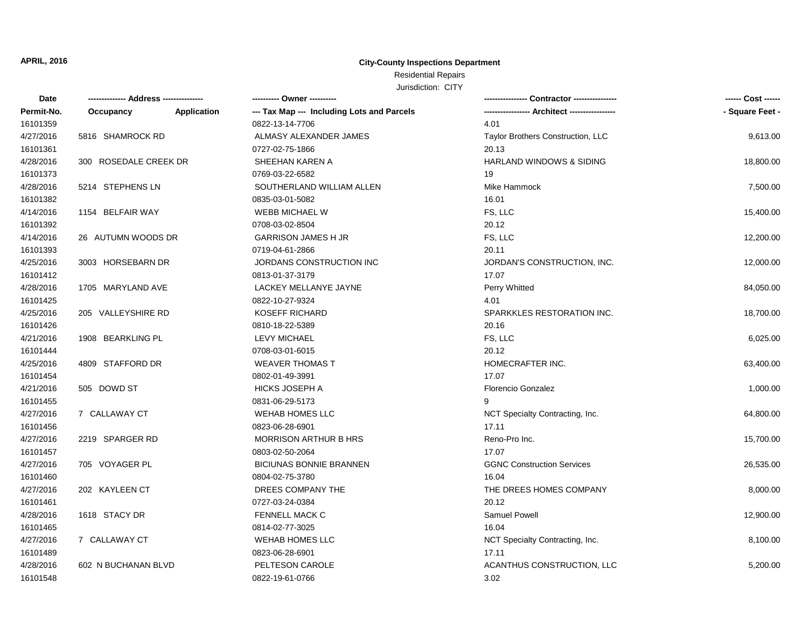## Residential Repairs

| Date       |                       |             | ---------- Owner ----------                |                                     | ------ Cost ------ |
|------------|-----------------------|-------------|--------------------------------------------|-------------------------------------|--------------------|
| Permit-No. | Occupancy             | Application | --- Tax Map --- Including Lots and Parcels |                                     | - Square Feet -    |
| 16101359   |                       |             | 0822-13-14-7706                            | 4.01                                |                    |
| 4/27/2016  | 5816 SHAMROCK RD      |             | ALMASY ALEXANDER JAMES                     | Taylor Brothers Construction, LLC   | 9,613.00           |
| 16101361   |                       |             | 0727-02-75-1866                            | 20.13                               |                    |
| 4/28/2016  | 300 ROSEDALE CREEK DR |             | SHEEHAN KAREN A                            | <b>HARLAND WINDOWS &amp; SIDING</b> | 18,800.00          |
| 16101373   |                       |             | 0769-03-22-6582                            | 19                                  |                    |
| 4/28/2016  | 5214 STEPHENS LN      |             | SOUTHERLAND WILLIAM ALLEN                  | Mike Hammock                        | 7,500.00           |
| 16101382   |                       |             | 0835-03-01-5082                            | 16.01                               |                    |
| 4/14/2016  | 1154 BELFAIR WAY      |             | WEBB MICHAEL W                             | FS, LLC                             | 15,400.00          |
| 16101392   |                       |             | 0708-03-02-8504                            | 20.12                               |                    |
| 4/14/2016  | 26 AUTUMN WOODS DR    |             | <b>GARRISON JAMES H JR</b>                 | FS, LLC                             | 12,200.00          |
| 16101393   |                       |             | 0719-04-61-2866                            | 20.11                               |                    |
| 4/25/2016  | 3003 HORSEBARN DR     |             | JORDANS CONSTRUCTION INC                   | JORDAN'S CONSTRUCTION, INC.         | 12,000.00          |
| 16101412   |                       |             | 0813-01-37-3179                            | 17.07                               |                    |
| 4/28/2016  | 1705 MARYLAND AVE     |             | LACKEY MELLANYE JAYNE                      | Perry Whitted                       | 84,050.00          |
| 16101425   |                       |             | 0822-10-27-9324                            | 4.01                                |                    |
| 4/25/2016  | 205 VALLEYSHIRE RD    |             | <b>KOSEFF RICHARD</b>                      | SPARKKLES RESTORATION INC.          | 18,700.00          |
| 16101426   |                       |             | 0810-18-22-5389                            | 20.16                               |                    |
| 4/21/2016  | 1908 BEARKLING PL     |             | <b>LEVY MICHAEL</b>                        | FS, LLC                             | 6,025.00           |
| 16101444   |                       |             | 0708-03-01-6015                            | 20.12                               |                    |
| 4/25/2016  | 4809 STAFFORD DR      |             | <b>WEAVER THOMAS T</b>                     | HOMECRAFTER INC.                    | 63,400.00          |
| 16101454   |                       |             | 0802-01-49-3991                            | 17.07                               |                    |
| 4/21/2016  | 505 DOWD ST           |             | <b>HICKS JOSEPH A</b>                      | Florencio Gonzalez                  | 1,000.00           |
| 16101455   |                       |             | 0831-06-29-5173                            | g                                   |                    |
| 4/27/2016  | 7 CALLAWAY CT         |             | <b>WEHAB HOMES LLC</b>                     | NCT Specialty Contracting, Inc.     | 64,800.00          |
| 16101456   |                       |             | 0823-06-28-6901                            | 17.11                               |                    |
| 4/27/2016  | 2219 SPARGER RD       |             | <b>MORRISON ARTHUR B HRS</b>               | Reno-Pro Inc.                       | 15,700.00          |
| 16101457   |                       |             | 0803-02-50-2064                            | 17.07                               |                    |
| 4/27/2016  | 705 VOYAGER PL        |             | <b>BICIUNAS BONNIE BRANNEN</b>             | <b>GGNC Construction Services</b>   | 26,535.00          |
| 16101460   |                       |             | 0804-02-75-3780                            | 16.04                               |                    |
| 4/27/2016  | 202 KAYLEEN CT        |             | DREES COMPANY THE                          | THE DREES HOMES COMPANY             | 8,000.00           |
| 16101461   |                       |             | 0727-03-24-0384                            | 20.12                               |                    |
| 4/28/2016  | 1618 STACY DR         |             | FENNELL MACK C                             | Samuel Powell                       | 12,900.00          |
| 16101465   |                       |             | 0814-02-77-3025                            | 16.04                               |                    |
| 4/27/2016  | 7 CALLAWAY CT         |             | <b>WEHAB HOMES LLC</b>                     | NCT Specialty Contracting, Inc.     | 8,100.00           |
| 16101489   |                       |             | 0823-06-28-6901                            | 17.11                               |                    |
| 4/28/2016  | 602 N BUCHANAN BLVD   |             | PELTESON CAROLE                            | ACANTHUS CONSTRUCTION, LLC          | 5,200.00           |
| 16101548   |                       |             | 0822-19-61-0766                            | 3.02                                |                    |